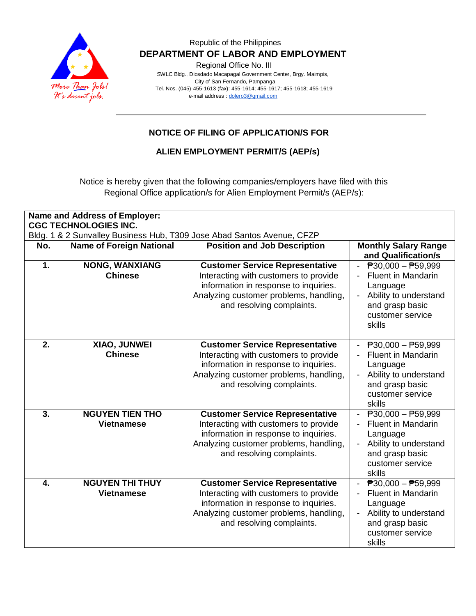

Regional Office No. III

 SWLC Bldg., Diosdado Macapagal Government Center, Brgy. Maimpis, City of San Fernando, Pampanga Tel. Nos. (045)-455-1613 (fax): 455-1614; 455-1617; 455-1618; 455-1619 e-mail address [: dolero3@gmail.com](mailto:dolero3@gmail.com)

# **NOTICE OF FILING OF APPLICATION/S FOR**

**ALIEN EMPLOYMENT PERMIT/S (AEP/s)**

Notice is hereby given that the following companies/employers have filed with this Regional Office application/s for Alien Employment Permit/s (AEP/s):

| Name and Address of Employer:<br><b>CGC TECHNOLOGIES INC.</b> |                                             |                                                                                                                                                                                                 |                                                                                                                                                              |
|---------------------------------------------------------------|---------------------------------------------|-------------------------------------------------------------------------------------------------------------------------------------------------------------------------------------------------|--------------------------------------------------------------------------------------------------------------------------------------------------------------|
|                                                               |                                             | Bldg. 1 & 2 Sunvalley Business Hub, T309 Jose Abad Santos Avenue, CFZP                                                                                                                          |                                                                                                                                                              |
| No.                                                           | <b>Name of Foreign National</b>             | <b>Position and Job Description</b>                                                                                                                                                             | <b>Monthly Salary Range</b><br>and Qualification/s                                                                                                           |
| 1.                                                            | <b>NONG, WANXIANG</b><br><b>Chinese</b>     | <b>Customer Service Representative</b><br>Interacting with customers to provide<br>information in response to inquiries.<br>Analyzing customer problems, handling,<br>and resolving complaints. | $\overline{P}30,000 - P59,999$<br><b>Fluent in Mandarin</b><br>Language<br>Ability to understand<br>and grasp basic<br>customer service<br>skills            |
| 2.                                                            | XIAO, JUNWEI<br><b>Chinese</b>              | <b>Customer Service Representative</b><br>Interacting with customers to provide<br>information in response to inquiries.<br>Analyzing customer problems, handling,<br>and resolving complaints. | $\overline{P}30,000 - \overline{P}59,999$<br><b>Fluent in Mandarin</b><br>Language<br>Ability to understand<br>and grasp basic<br>customer service<br>skills |
| 3.                                                            | <b>NGUYEN TIEN THO</b><br><b>Vietnamese</b> | <b>Customer Service Representative</b><br>Interacting with customers to provide<br>information in response to inquiries.<br>Analyzing customer problems, handling,<br>and resolving complaints. | $\overline{P}30,000 - \overline{P}59,999$<br><b>Fluent in Mandarin</b><br>Language<br>Ability to understand<br>and grasp basic<br>customer service<br>skills |
| 4.                                                            | <b>NGUYEN THI THUY</b><br><b>Vietnamese</b> | <b>Customer Service Representative</b><br>Interacting with customers to provide<br>information in response to inquiries.<br>Analyzing customer problems, handling,<br>and resolving complaints. | $\overline{P}30,000 - \overline{P}59,999$<br><b>Fluent in Mandarin</b><br>Language<br>Ability to understand<br>and grasp basic<br>customer service<br>skills |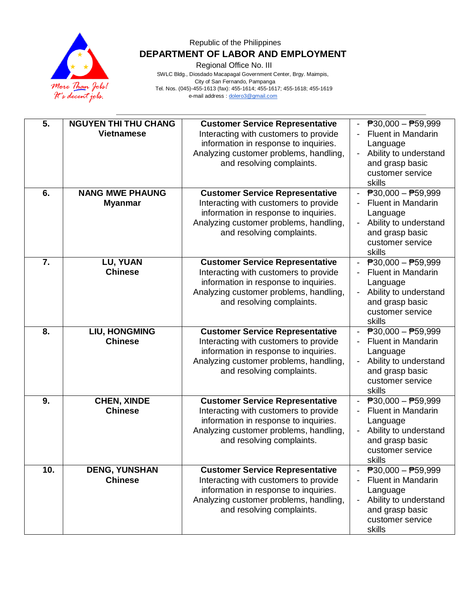

Regional Office No. III

| $\overline{5}$ .<br>6. | <b>NGUYEN THI THU CHANG</b><br><b>Vietnamese</b><br><b>NANG MWE PHAUNG</b><br><b>Myanmar</b> | <b>Customer Service Representative</b><br>Interacting with customers to provide<br>information in response to inquiries.<br>Analyzing customer problems, handling,<br>and resolving complaints.<br><b>Customer Service Representative</b><br>Interacting with customers to provide<br>information in response to inquiries.<br>Analyzing customer problems, handling,<br>and resolving complaints. | $\overline{P}30,000 - \overline{P}59,999$<br><b>Fluent in Mandarin</b><br>Language<br>Ability to understand<br>$\overline{\phantom{a}}$<br>and grasp basic<br>customer service<br>skills<br>$\overline{P}30,000 - \overline{P}59,999$<br><b>Fluent in Mandarin</b><br>Language<br>Ability to understand<br>$\overline{\phantom{0}}$<br>and grasp basic<br>customer service |
|------------------------|----------------------------------------------------------------------------------------------|----------------------------------------------------------------------------------------------------------------------------------------------------------------------------------------------------------------------------------------------------------------------------------------------------------------------------------------------------------------------------------------------------|----------------------------------------------------------------------------------------------------------------------------------------------------------------------------------------------------------------------------------------------------------------------------------------------------------------------------------------------------------------------------|
| 7.                     | LU, YUAN<br><b>Chinese</b>                                                                   | <b>Customer Service Representative</b><br>Interacting with customers to provide<br>information in response to inquiries.<br>Analyzing customer problems, handling,<br>and resolving complaints.                                                                                                                                                                                                    | skills<br>$ \overline{P}30,000 - \overline{P}59,999$<br><b>Fluent in Mandarin</b><br>Language<br>Ability to understand<br>and grasp basic<br>customer service<br>skills                                                                                                                                                                                                    |
| 8.                     | <b>LIU, HONGMING</b><br><b>Chinese</b>                                                       | <b>Customer Service Representative</b><br>Interacting with customers to provide<br>information in response to inquiries.<br>Analyzing customer problems, handling,<br>and resolving complaints.                                                                                                                                                                                                    | $\overline{P}30,000 - \overline{P}59,999$<br><b>Fluent in Mandarin</b><br>$\overline{\phantom{a}}$<br>Language<br>Ability to understand<br>and grasp basic<br>customer service<br>skills                                                                                                                                                                                   |
| 9.                     | <b>CHEN, XINDE</b><br><b>Chinese</b>                                                         | <b>Customer Service Representative</b><br>Interacting with customers to provide<br>information in response to inquiries.<br>Analyzing customer problems, handling,<br>and resolving complaints.                                                                                                                                                                                                    | $\overline{P}30,000 - P59,999$<br><b>Fluent in Mandarin</b><br>Language<br>Ability to understand<br>and grasp basic<br>customer service<br>skills                                                                                                                                                                                                                          |
| 10.                    | <b>DENG, YUNSHAN</b><br><b>Chinese</b>                                                       | <b>Customer Service Representative</b><br>Interacting with customers to provide<br>information in response to inquiries.<br>Analyzing customer problems, handling,<br>and resolving complaints.                                                                                                                                                                                                    | $P30,000 - P59,999$<br><b>Fluent in Mandarin</b><br>Language<br>Ability to understand<br>and grasp basic<br>customer service<br>skills                                                                                                                                                                                                                                     |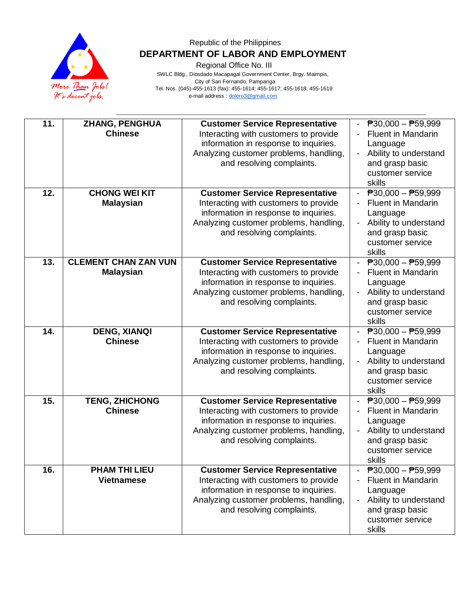

Regional Office No. III

| 11. | <b>ZHANG, PENGHUA</b><br><b>Chinese</b>         | <b>Customer Service Representative</b><br>Interacting with customers to provide<br>information in response to inquiries.<br>Analyzing customer problems, handling,<br>and resolving complaints. | $\overline{P}30,000 - \overline{P}59,999$<br><b>Fluent in Mandarin</b><br>Language<br>Ability to understand<br>and grasp basic<br>customer service<br>skills |
|-----|-------------------------------------------------|-------------------------------------------------------------------------------------------------------------------------------------------------------------------------------------------------|--------------------------------------------------------------------------------------------------------------------------------------------------------------|
| 12. | <b>CHONG WEI KIT</b><br><b>Malaysian</b>        | <b>Customer Service Representative</b><br>Interacting with customers to provide<br>information in response to inquiries.<br>Analyzing customer problems, handling,<br>and resolving complaints. | $\overline{P}30,000 - \overline{P}59,999$<br><b>Fluent in Mandarin</b><br>Language<br>Ability to understand<br>and grasp basic<br>customer service<br>skills |
| 13. | <b>CLEMENT CHAN ZAN VUN</b><br><b>Malaysian</b> | <b>Customer Service Representative</b><br>Interacting with customers to provide<br>information in response to inquiries.<br>Analyzing customer problems, handling,<br>and resolving complaints. | $\overline{P}30,000 - \overline{P}59,999$<br><b>Fluent in Mandarin</b><br>Language<br>Ability to understand<br>and grasp basic<br>customer service<br>skills |
| 14. | <b>DENG, XIANQI</b><br><b>Chinese</b>           | <b>Customer Service Representative</b><br>Interacting with customers to provide<br>information in response to inquiries.<br>Analyzing customer problems, handling,<br>and resolving complaints. | $\overline{P}30,000 - \overline{P}59,999$<br><b>Fluent in Mandarin</b><br>Language<br>Ability to understand<br>and grasp basic<br>customer service<br>skills |
| 15. | <b>TENG, ZHICHONG</b><br><b>Chinese</b>         | <b>Customer Service Representative</b><br>Interacting with customers to provide<br>information in response to inquiries.<br>Analyzing customer problems, handling,<br>and resolving complaints. | $\overline{P}30,000 - \overline{P}59,999$<br><b>Fluent in Mandarin</b><br>Language<br>Ability to understand<br>and grasp basic<br>customer service<br>skills |
| 16. | <b>PHAM THI LIEU</b><br><b>Vietnamese</b>       | <b>Customer Service Representative</b><br>Interacting with customers to provide<br>information in response to inquiries.<br>Analyzing customer problems, handling,<br>and resolving complaints. | $\overline{P}30,000 - \overline{P}59,999$<br><b>Fluent in Mandarin</b><br>Language<br>Ability to understand<br>and grasp basic<br>customer service<br>skills |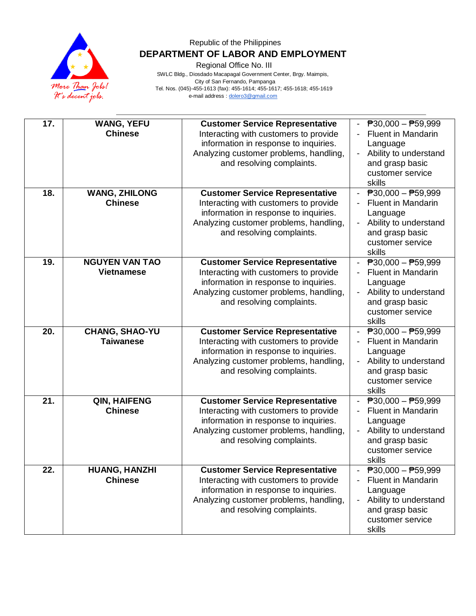

Regional Office No. III

| 17. | <b>WANG, YEFU</b><br><b>Chinese</b>        | <b>Customer Service Representative</b><br>Interacting with customers to provide<br>information in response to inquiries.<br>Analyzing customer problems, handling,<br>and resolving complaints. | $\overline{P}30,000 - \overline{P}59,999$<br><b>Fluent in Mandarin</b><br>Language<br>Ability to understand<br>and grasp basic<br>customer service<br>skills |
|-----|--------------------------------------------|-------------------------------------------------------------------------------------------------------------------------------------------------------------------------------------------------|--------------------------------------------------------------------------------------------------------------------------------------------------------------|
| 18. | <b>WANG, ZHILONG</b><br><b>Chinese</b>     | <b>Customer Service Representative</b><br>Interacting with customers to provide<br>information in response to inquiries.<br>Analyzing customer problems, handling,<br>and resolving complaints. | $\overline{P}30,000 - \overline{P}59,999$<br><b>Fluent in Mandarin</b><br>Language<br>Ability to understand<br>and grasp basic<br>customer service<br>skills |
| 19. | <b>NGUYEN VAN TAO</b><br><b>Vietnamese</b> | <b>Customer Service Representative</b><br>Interacting with customers to provide<br>information in response to inquiries.<br>Analyzing customer problems, handling,<br>and resolving complaints. | $\overline{P}30,000 - \overline{P}59,999$<br><b>Fluent in Mandarin</b><br>Language<br>Ability to understand<br>and grasp basic<br>customer service<br>skills |
| 20. | <b>CHANG, SHAO-YU</b><br><b>Taiwanese</b>  | <b>Customer Service Representative</b><br>Interacting with customers to provide<br>information in response to inquiries.<br>Analyzing customer problems, handling,<br>and resolving complaints. | $\overline{P}30,000 - P59,999$<br>Fluent in Mandarin<br>Language<br>Ability to understand<br>and grasp basic<br>customer service<br>skills                   |
| 21. | QIN, HAIFENG<br><b>Chinese</b>             | <b>Customer Service Representative</b><br>Interacting with customers to provide<br>information in response to inquiries.<br>Analyzing customer problems, handling,<br>and resolving complaints. | $\overline{P}30,000 - \overline{P}59,999$<br><b>Fluent in Mandarin</b><br>Language<br>Ability to understand<br>and grasp basic<br>customer service<br>skills |
| 22. | <b>HUANG, HANZHI</b><br><b>Chinese</b>     | <b>Customer Service Representative</b><br>Interacting with customers to provide<br>information in response to inquiries.<br>Analyzing customer problems, handling,<br>and resolving complaints. | $\overline{P}30,000 - \overline{P}59,999$<br><b>Fluent in Mandarin</b><br>Language<br>Ability to understand<br>and grasp basic<br>customer service<br>skills |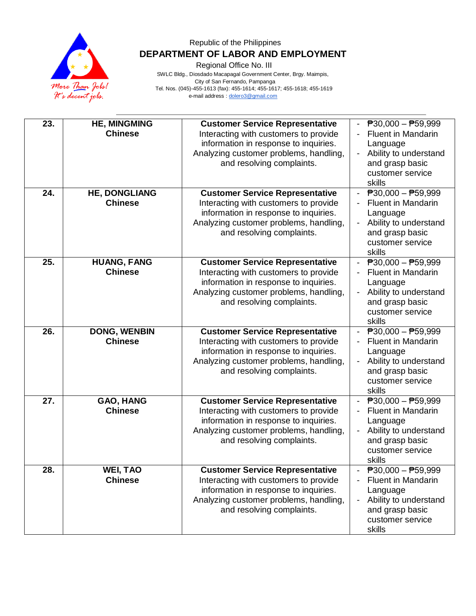

Regional Office No. III

| 23. | <b>HE, MINGMING</b><br><b>Chinese</b>  | <b>Customer Service Representative</b><br>Interacting with customers to provide<br>information in response to inquiries.<br>Analyzing customer problems, handling,<br>and resolving complaints. | $\overline{P}30,000 - \overline{P}59,999$<br><b>Fluent in Mandarin</b><br>Language<br>Ability to understand<br>and grasp basic<br>customer service<br>skills |
|-----|----------------------------------------|-------------------------------------------------------------------------------------------------------------------------------------------------------------------------------------------------|--------------------------------------------------------------------------------------------------------------------------------------------------------------|
| 24. | <b>HE, DONGLIANG</b><br><b>Chinese</b> | <b>Customer Service Representative</b><br>Interacting with customers to provide<br>information in response to inquiries.<br>Analyzing customer problems, handling,<br>and resolving complaints. | $\overline{P}30,000 - \overline{P}59,999$<br><b>Fluent in Mandarin</b><br>Language<br>Ability to understand<br>and grasp basic<br>customer service<br>skills |
| 25. | <b>HUANG, FANG</b><br><b>Chinese</b>   | <b>Customer Service Representative</b><br>Interacting with customers to provide<br>information in response to inquiries.<br>Analyzing customer problems, handling,<br>and resolving complaints. | $\overline{P}30,000 - \overline{P}59,999$<br><b>Fluent in Mandarin</b><br>Language<br>Ability to understand<br>and grasp basic<br>customer service<br>skills |
| 26. | <b>DONG, WENBIN</b><br><b>Chinese</b>  | <b>Customer Service Representative</b><br>Interacting with customers to provide<br>information in response to inquiries.<br>Analyzing customer problems, handling,<br>and resolving complaints. | $\overline{P}30,000 - \overline{P}59,999$<br>Fluent in Mandarin<br>Language<br>Ability to understand<br>and grasp basic<br>customer service<br>skills        |
| 27. | GAO, HANG<br><b>Chinese</b>            | <b>Customer Service Representative</b><br>Interacting with customers to provide<br>information in response to inquiries.<br>Analyzing customer problems, handling,<br>and resolving complaints. | $\overline{P}30,000 - \overline{P}59,999$<br><b>Fluent in Mandarin</b><br>Language<br>Ability to understand<br>and grasp basic<br>customer service<br>skills |
| 28. | <b>WEI, TAO</b><br><b>Chinese</b>      | <b>Customer Service Representative</b><br>Interacting with customers to provide<br>information in response to inquiries.<br>Analyzing customer problems, handling,<br>and resolving complaints. | $\overline{P}30,000 - \overline{P}59,999$<br><b>Fluent in Mandarin</b><br>Language<br>Ability to understand<br>and grasp basic<br>customer service<br>skills |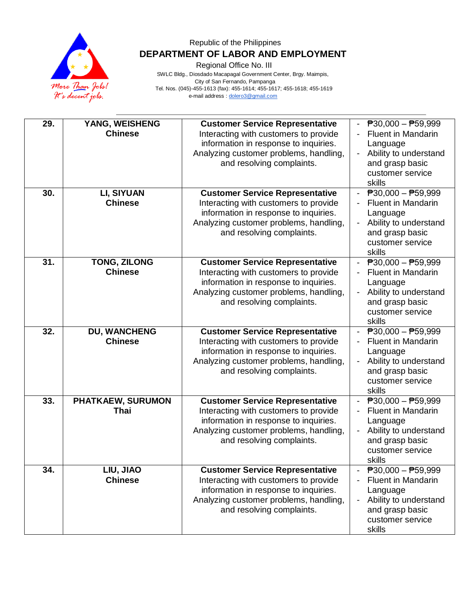

Regional Office No. III

| 29. | YANG, WEISHENG      | <b>Customer Service Representative</b> | $\overline{P}30,000 - \overline{P}59,999$ |
|-----|---------------------|----------------------------------------|-------------------------------------------|
|     | <b>Chinese</b>      | Interacting with customers to provide  | <b>Fluent in Mandarin</b>                 |
|     |                     | information in response to inquiries.  | Language                                  |
|     |                     | Analyzing customer problems, handling, | Ability to understand                     |
|     |                     | and resolving complaints.              | and grasp basic                           |
|     |                     |                                        | customer service                          |
|     |                     |                                        | skills                                    |
| 30. | LI, SIYUAN          | <b>Customer Service Representative</b> | $\overline{P}30,000 - \overline{P}59,999$ |
|     | <b>Chinese</b>      | Interacting with customers to provide  | <b>Fluent in Mandarin</b>                 |
|     |                     | information in response to inquiries.  | Language                                  |
|     |                     | Analyzing customer problems, handling, | Ability to understand                     |
|     |                     | and resolving complaints.              | and grasp basic                           |
|     |                     |                                        | customer service                          |
|     |                     |                                        | skills                                    |
| 31. | <b>TONG, ZILONG</b> | <b>Customer Service Representative</b> | $\overline{P}30,000 - \overline{P}59,999$ |
|     | <b>Chinese</b>      | Interacting with customers to provide  | <b>Fluent in Mandarin</b>                 |
|     |                     | information in response to inquiries.  | Language                                  |
|     |                     | Analyzing customer problems, handling, | Ability to understand                     |
|     |                     | and resolving complaints.              | and grasp basic                           |
|     |                     |                                        | customer service                          |
|     |                     |                                        | skills                                    |
| 32. | <b>DU, WANCHENG</b> | <b>Customer Service Representative</b> | $\overline{P}30,000 - \overline{P}59,999$ |
|     | <b>Chinese</b>      | Interacting with customers to provide  | Fluent in Mandarin                        |
|     |                     | information in response to inquiries.  | Language                                  |
|     |                     | Analyzing customer problems, handling, | Ability to understand                     |
|     |                     | and resolving complaints.              | and grasp basic                           |
|     |                     |                                        | customer service                          |
|     |                     |                                        | skills                                    |
| 33. | PHATKAEW, SURUMON   | <b>Customer Service Representative</b> | $\overline{P}30,000 - \overline{P}59,999$ |
|     | Thai                | Interacting with customers to provide  | <b>Fluent in Mandarin</b>                 |
|     |                     | information in response to inquiries.  | Language                                  |
|     |                     | Analyzing customer problems, handling, | Ability to understand                     |
|     |                     | and resolving complaints.              | and grasp basic                           |
|     |                     |                                        | customer service                          |
|     |                     |                                        | skills                                    |
| 34. | LIU, JIAO           | <b>Customer Service Representative</b> | $\overline{P}30,000 - \overline{P}59,999$ |
|     | <b>Chinese</b>      | Interacting with customers to provide  | <b>Fluent in Mandarin</b>                 |
|     |                     |                                        |                                           |
|     |                     | information in response to inquiries.  | Language                                  |
|     |                     | Analyzing customer problems, handling, | Ability to understand                     |
|     |                     | and resolving complaints.              | and grasp basic                           |
|     |                     |                                        | customer service                          |
|     |                     |                                        | skills                                    |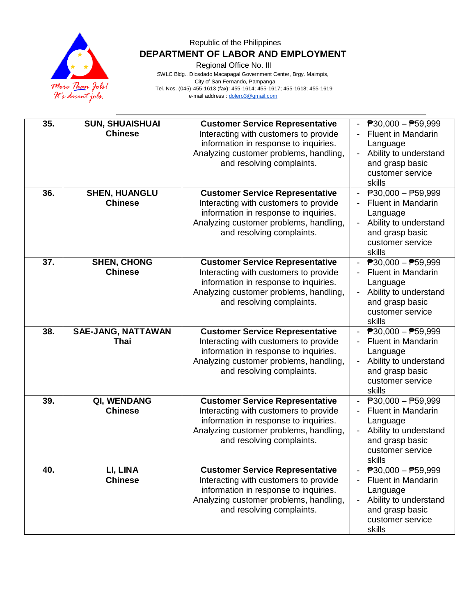

Regional Office No. III

| 35. | <b>SUN, SHUAISHUAI</b>    | <b>Customer Service Representative</b> | $\overline{P}30,000 - \overline{P}59,999$ |
|-----|---------------------------|----------------------------------------|-------------------------------------------|
|     | <b>Chinese</b>            | Interacting with customers to provide  | <b>Fluent in Mandarin</b>                 |
|     |                           | information in response to inquiries.  | Language                                  |
|     |                           | Analyzing customer problems, handling, | Ability to understand                     |
|     |                           | and resolving complaints.              | and grasp basic                           |
|     |                           |                                        | customer service                          |
|     |                           |                                        | skills                                    |
| 36. | <b>SHEN, HUANGLU</b>      | <b>Customer Service Representative</b> | $\overline{P}30,000 - \overline{P}59,999$ |
|     | <b>Chinese</b>            | Interacting with customers to provide  | <b>Fluent in Mandarin</b>                 |
|     |                           | information in response to inquiries.  | Language                                  |
|     |                           | Analyzing customer problems, handling, | Ability to understand                     |
|     |                           | and resolving complaints.              | and grasp basic                           |
|     |                           |                                        | customer service                          |
|     |                           |                                        | skills                                    |
| 37. | <b>SHEN, CHONG</b>        | <b>Customer Service Representative</b> | $\overline{P}30,000 - \overline{P}59,999$ |
|     | <b>Chinese</b>            | Interacting with customers to provide  | <b>Fluent in Mandarin</b>                 |
|     |                           | information in response to inquiries.  | Language                                  |
|     |                           | Analyzing customer problems, handling, | Ability to understand                     |
|     |                           | and resolving complaints.              | and grasp basic                           |
|     |                           |                                        | customer service                          |
|     |                           |                                        | skills                                    |
| 38. | <b>SAE-JANG, NATTAWAN</b> | <b>Customer Service Representative</b> | $\overline{P}30,000 - \overline{P}59,999$ |
|     | <b>Thai</b>               | Interacting with customers to provide  | Fluent in Mandarin                        |
|     |                           | information in response to inquiries.  | Language                                  |
|     |                           | Analyzing customer problems, handling, | Ability to understand                     |
|     |                           | and resolving complaints.              | and grasp basic                           |
|     |                           |                                        | customer service                          |
|     |                           |                                        | skills                                    |
| 39. | QI, WENDANG               | <b>Customer Service Representative</b> | $\overline{P}30,000 - \overline{P}59,999$ |
|     | <b>Chinese</b>            | Interacting with customers to provide  | <b>Fluent in Mandarin</b>                 |
|     |                           | information in response to inquiries.  | Language                                  |
|     |                           | Analyzing customer problems, handling, | Ability to understand                     |
|     |                           | and resolving complaints.              | and grasp basic                           |
|     |                           |                                        | customer service                          |
|     |                           |                                        |                                           |
| 40. |                           |                                        | skills                                    |
|     | LI, LINA                  | <b>Customer Service Representative</b> | $\overline{P}30,000 - \overline{P}59,999$ |
|     | <b>Chinese</b>            | Interacting with customers to provide  | <b>Fluent in Mandarin</b>                 |
|     |                           | information in response to inquiries.  | Language                                  |
|     |                           | Analyzing customer problems, handling, | Ability to understand                     |
|     |                           | and resolving complaints.              | and grasp basic                           |
|     |                           |                                        | customer service                          |
|     |                           |                                        | skills                                    |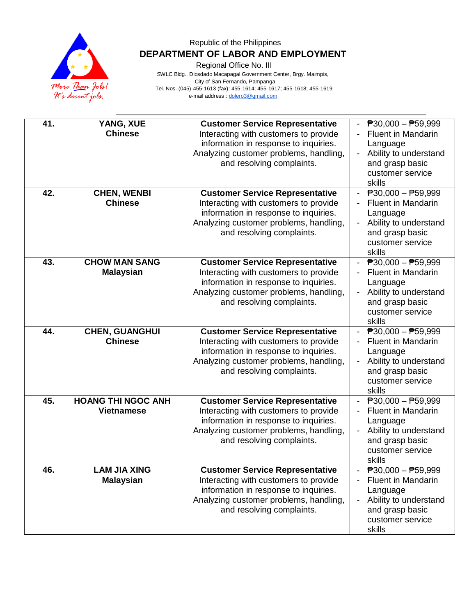

Regional Office No. III

| 41. | YANG, XUE<br><b>Chinese</b>                    | <b>Customer Service Representative</b><br>Interacting with customers to provide<br>information in response to inquiries.<br>Analyzing customer problems, handling,<br>and resolving complaints. | $\overline{P}30,000 - \overline{P}59,999$<br><b>Fluent in Mandarin</b><br>Language<br>Ability to understand<br>$\overline{\phantom{a}}$<br>and grasp basic<br>customer service<br>skills |
|-----|------------------------------------------------|-------------------------------------------------------------------------------------------------------------------------------------------------------------------------------------------------|------------------------------------------------------------------------------------------------------------------------------------------------------------------------------------------|
| 42. | <b>CHEN, WENBI</b><br><b>Chinese</b>           | <b>Customer Service Representative</b><br>Interacting with customers to provide<br>information in response to inquiries.<br>Analyzing customer problems, handling,<br>and resolving complaints. | $\overline{P}30,000 - \overline{P}59,999$<br><b>Fluent in Mandarin</b><br>Language<br>Ability to understand<br>and grasp basic<br>customer service<br>skills                             |
| 43. | <b>CHOW MAN SANG</b><br><b>Malaysian</b>       | <b>Customer Service Representative</b><br>Interacting with customers to provide<br>information in response to inquiries.<br>Analyzing customer problems, handling,<br>and resolving complaints. | $P30,000 - P59,999$<br><b>Fluent in Mandarin</b><br>Language<br>Ability to understand<br>and grasp basic<br>customer service<br>skills                                                   |
| 44. | <b>CHEN, GUANGHUI</b><br><b>Chinese</b>        | <b>Customer Service Representative</b><br>Interacting with customers to provide<br>information in response to inquiries.<br>Analyzing customer problems, handling,<br>and resolving complaints. | $\overline{P}30,000 - P59,999$<br><b>Fluent in Mandarin</b><br>Language<br>Ability to understand<br>and grasp basic<br>customer service<br>skills                                        |
| 45. | <b>HOANG THI NGOC ANH</b><br><b>Vietnamese</b> | <b>Customer Service Representative</b><br>Interacting with customers to provide<br>information in response to inquiries.<br>Analyzing customer problems, handling,<br>and resolving complaints. | $\overline{P}30,000 - \overline{P}59,999$<br><b>Fluent in Mandarin</b><br>Language<br>Ability to understand<br>and grasp basic<br>customer service<br>skills                             |
| 46. | <b>LAM JIA XING</b><br><b>Malaysian</b>        | <b>Customer Service Representative</b><br>Interacting with customers to provide<br>information in response to inquiries.<br>Analyzing customer problems, handling,<br>and resolving complaints. | $\overline{P}30,000 - \overline{P}59,999$<br><b>Fluent in Mandarin</b><br>Language<br>Ability to understand<br>and grasp basic<br>customer service<br>skills                             |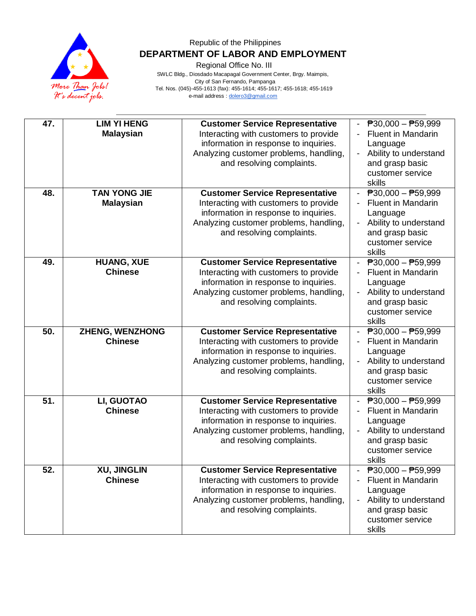

Regional Office No. III

| 47. | <b>LIM YI HENG</b><br><b>Malaysian</b>   | <b>Customer Service Representative</b><br>Interacting with customers to provide<br>information in response to inquiries.<br>Analyzing customer problems, handling,<br>and resolving complaints. | $\overline{P}30,000 - \overline{P}59,999$<br><b>Fluent in Mandarin</b><br>Language<br>Ability to understand<br>and grasp basic<br>customer service<br>skills |
|-----|------------------------------------------|-------------------------------------------------------------------------------------------------------------------------------------------------------------------------------------------------|--------------------------------------------------------------------------------------------------------------------------------------------------------------|
| 48. | <b>TAN YONG JIE</b><br><b>Malaysian</b>  | <b>Customer Service Representative</b><br>Interacting with customers to provide<br>information in response to inquiries.<br>Analyzing customer problems, handling,<br>and resolving complaints. | $\overline{P}30,000 - \overline{P}59,999$<br><b>Fluent in Mandarin</b><br>Language<br>Ability to understand<br>and grasp basic<br>customer service<br>skills |
| 49. | <b>HUANG, XUE</b><br><b>Chinese</b>      | <b>Customer Service Representative</b><br>Interacting with customers to provide<br>information in response to inquiries.<br>Analyzing customer problems, handling,<br>and resolving complaints. | $\overline{P}30,000 - \overline{P}59,999$<br><b>Fluent in Mandarin</b><br>Language<br>Ability to understand<br>and grasp basic<br>customer service<br>skills |
| 50. | <b>ZHENG, WENZHONG</b><br><b>Chinese</b> | <b>Customer Service Representative</b><br>Interacting with customers to provide<br>information in response to inquiries.<br>Analyzing customer problems, handling,<br>and resolving complaints. | $\overline{P}30,000 - P59,999$<br><b>Fluent in Mandarin</b><br>Language<br>Ability to understand<br>and grasp basic<br>customer service<br>skills            |
| 51. | LI, GUOTAO<br><b>Chinese</b>             | <b>Customer Service Representative</b><br>Interacting with customers to provide<br>information in response to inquiries.<br>Analyzing customer problems, handling,<br>and resolving complaints. | $\overline{P}30,000 - \overline{P}59,999$<br><b>Fluent in Mandarin</b><br>Language<br>Ability to understand<br>and grasp basic<br>customer service<br>skills |
| 52. | <b>XU, JINGLIN</b><br><b>Chinese</b>     | <b>Customer Service Representative</b><br>Interacting with customers to provide<br>information in response to inquiries.<br>Analyzing customer problems, handling,<br>and resolving complaints. | $\overline{P}30,000 - \overline{P}59,999$<br><b>Fluent in Mandarin</b><br>Language<br>Ability to understand<br>and grasp basic<br>customer service<br>skills |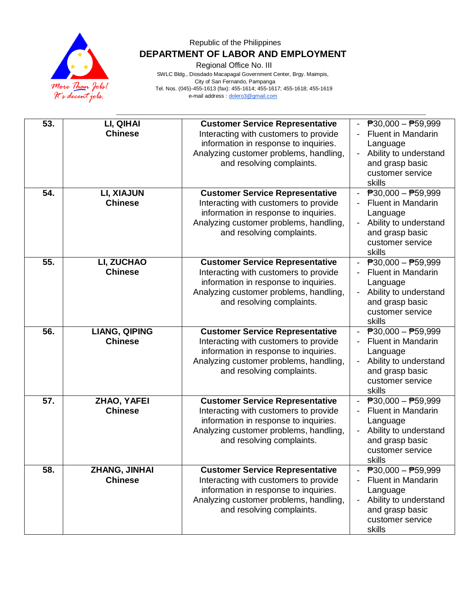

Regional Office No. III

| 53. | LI, QIHAI<br><b>Chinese</b>            | <b>Customer Service Representative</b><br>Interacting with customers to provide<br>information in response to inquiries.<br>Analyzing customer problems, handling,<br>and resolving complaints. | $\overline{P}30,000 - \overline{P}59,999$<br><b>Fluent in Mandarin</b><br>Language<br>Ability to understand<br>and grasp basic<br>customer service<br>skills |
|-----|----------------------------------------|-------------------------------------------------------------------------------------------------------------------------------------------------------------------------------------------------|--------------------------------------------------------------------------------------------------------------------------------------------------------------|
| 54. | LI, XIAJUN<br><b>Chinese</b>           | <b>Customer Service Representative</b><br>Interacting with customers to provide<br>information in response to inquiries.<br>Analyzing customer problems, handling,<br>and resolving complaints. | $\overline{P}30,000 - \overline{P}59,999$<br><b>Fluent in Mandarin</b><br>Language<br>Ability to understand<br>and grasp basic<br>customer service<br>skills |
| 55. | LI, ZUCHAO<br><b>Chinese</b>           | <b>Customer Service Representative</b><br>Interacting with customers to provide<br>information in response to inquiries.<br>Analyzing customer problems, handling,<br>and resolving complaints. | $\overline{P}30,000 - \overline{P}59,999$<br><b>Fluent in Mandarin</b><br>Language<br>Ability to understand<br>and grasp basic<br>customer service<br>skills |
| 56. | <b>LIANG, QIPING</b><br><b>Chinese</b> | <b>Customer Service Representative</b><br>Interacting with customers to provide<br>information in response to inquiries.<br>Analyzing customer problems, handling,<br>and resolving complaints. | $\overline{P}30,000 - P59,999$<br><b>Fluent in Mandarin</b><br>Language<br>Ability to understand<br>and grasp basic<br>customer service<br>skills            |
| 57. | ZHAO, YAFEI<br><b>Chinese</b>          | <b>Customer Service Representative</b><br>Interacting with customers to provide<br>information in response to inquiries.<br>Analyzing customer problems, handling,<br>and resolving complaints. | $\overline{P}30,000 - \overline{P}59,999$<br><b>Fluent in Mandarin</b><br>Language<br>Ability to understand<br>and grasp basic<br>customer service<br>skills |
| 58. | ZHANG, JINHAI<br><b>Chinese</b>        | <b>Customer Service Representative</b><br>Interacting with customers to provide<br>information in response to inquiries.<br>Analyzing customer problems, handling,<br>and resolving complaints. | $\overline{P}30,000 - \overline{P}59,999$<br><b>Fluent in Mandarin</b><br>Language<br>Ability to understand<br>and grasp basic<br>customer service<br>skills |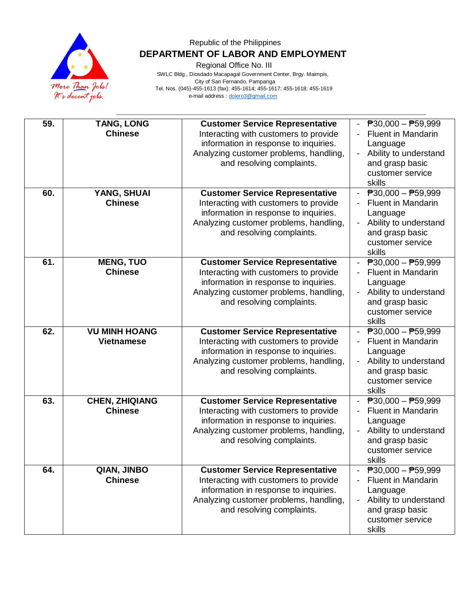

Regional Office No. III

| 59. | <b>TANG, LONG</b><br><b>Chinese</b>       | <b>Customer Service Representative</b><br>Interacting with customers to provide<br>information in response to inquiries.<br>Analyzing customer problems, handling,<br>and resolving complaints. | $\overline{P}30,000 - \overline{P}59,999$<br><b>Fluent in Mandarin</b><br>Language<br>Ability to understand<br>and grasp basic<br>customer service<br>skills |
|-----|-------------------------------------------|-------------------------------------------------------------------------------------------------------------------------------------------------------------------------------------------------|--------------------------------------------------------------------------------------------------------------------------------------------------------------|
| 60. | YANG, SHUAI<br><b>Chinese</b>             | <b>Customer Service Representative</b><br>Interacting with customers to provide<br>information in response to inquiries.<br>Analyzing customer problems, handling,<br>and resolving complaints. | $\overline{P}30,000 - \overline{P}59,999$<br><b>Fluent in Mandarin</b><br>Language<br>Ability to understand<br>and grasp basic<br>customer service<br>skills |
| 61. | <b>MENG, TUO</b><br><b>Chinese</b>        | <b>Customer Service Representative</b><br>Interacting with customers to provide<br>information in response to inquiries.<br>Analyzing customer problems, handling,<br>and resolving complaints. | $\overline{P}30,000 - \overline{P}59,999$<br><b>Fluent in Mandarin</b><br>Language<br>Ability to understand<br>and grasp basic<br>customer service<br>skills |
| 62. | <b>VU MINH HOANG</b><br><b>Vietnamese</b> | <b>Customer Service Representative</b><br>Interacting with customers to provide<br>information in response to inquiries.<br>Analyzing customer problems, handling,<br>and resolving complaints. | $\overline{P}30,000 - P59,999$<br>Fluent in Mandarin<br>Language<br>Ability to understand<br>and grasp basic<br>customer service<br>skills                   |
| 63. | <b>CHEN, ZHIQIANG</b><br><b>Chinese</b>   | <b>Customer Service Representative</b><br>Interacting with customers to provide<br>information in response to inquiries.<br>Analyzing customer problems, handling,<br>and resolving complaints. | $\overline{P}30,000 - \overline{P}59,999$<br><b>Fluent in Mandarin</b><br>Language<br>Ability to understand<br>and grasp basic<br>customer service<br>skills |
| 64. | QIAN, JINBO<br><b>Chinese</b>             | <b>Customer Service Representative</b><br>Interacting with customers to provide<br>information in response to inquiries.<br>Analyzing customer problems, handling,<br>and resolving complaints. | $\overline{P}30,000 - \overline{P}59,999$<br><b>Fluent in Mandarin</b><br>Language<br>Ability to understand<br>and grasp basic<br>customer service<br>skills |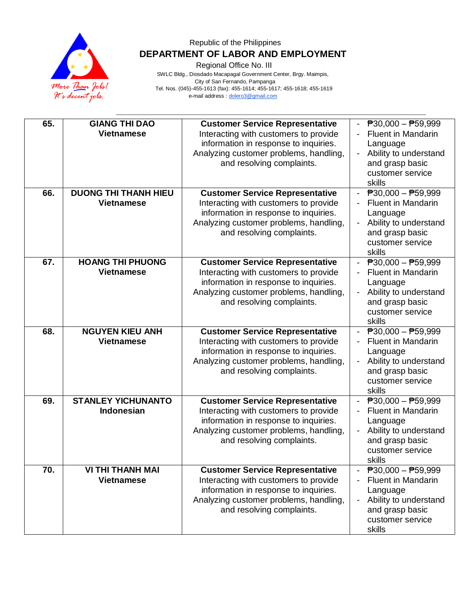

Regional Office No. III

| 65. | <b>GIANG THI DAO</b>        | <b>Customer Service Representative</b>                                          | $\overline{P}30,000 - \overline{P}59,999$           |
|-----|-----------------------------|---------------------------------------------------------------------------------|-----------------------------------------------------|
|     | <b>Vietnamese</b>           | Interacting with customers to provide                                           | <b>Fluent in Mandarin</b>                           |
|     |                             | information in response to inquiries.                                           | Language                                            |
|     |                             | Analyzing customer problems, handling,                                          | Ability to understand<br>$\overline{\phantom{a}}$   |
|     |                             | and resolving complaints.                                                       | and grasp basic                                     |
|     |                             |                                                                                 | customer service                                    |
|     |                             |                                                                                 | skills                                              |
| 66. | <b>DUONG THI THANH HIEU</b> | <b>Customer Service Representative</b>                                          | $\overline{P}30,000 - \overline{P}59,999$           |
|     | <b>Vietnamese</b>           | Interacting with customers to provide                                           | <b>Fluent in Mandarin</b>                           |
|     |                             | information in response to inquiries.                                           | Language                                            |
|     |                             | Analyzing customer problems, handling,                                          | Ability to understand                               |
|     |                             | and resolving complaints.                                                       | and grasp basic<br>customer service                 |
|     |                             |                                                                                 | skills                                              |
| 67. | <b>HOANG THI PHUONG</b>     | <b>Customer Service Representative</b>                                          | $\overline{P}30,000 - \overline{P}59,999$           |
|     | <b>Vietnamese</b>           | Interacting with customers to provide                                           | <b>Fluent in Mandarin</b>                           |
|     |                             | information in response to inquiries.                                           | Language                                            |
|     |                             | Analyzing customer problems, handling,                                          | Ability to understand                               |
|     |                             | and resolving complaints.                                                       | and grasp basic                                     |
|     |                             |                                                                                 | customer service                                    |
|     |                             |                                                                                 | skills                                              |
| 68. | <b>NGUYEN KIEU ANH</b>      | <b>Customer Service Representative</b>                                          | $\overline{P}30,000 - P59,999$                      |
|     | <b>Vietnamese</b>           | Interacting with customers to provide                                           | <b>Fluent in Mandarin</b>                           |
|     |                             | information in response to inquiries.<br>Analyzing customer problems, handling, | Language<br>Ability to understand                   |
|     |                             | and resolving complaints.                                                       | and grasp basic                                     |
|     |                             |                                                                                 | customer service                                    |
|     |                             |                                                                                 | skills                                              |
| 69. | <b>STANLEY YICHUNANTO</b>   | <b>Customer Service Representative</b>                                          | $\overline{P}30,000 - \overline{P}59,999$           |
|     | <b>Indonesian</b>           | Interacting with customers to provide                                           | <b>Fluent in Mandarin</b>                           |
|     |                             | information in response to inquiries.                                           | Language                                            |
|     |                             | Analyzing customer problems, handling,                                          | Ability to understand                               |
|     |                             | and resolving complaints.                                                       | and grasp basic                                     |
|     |                             |                                                                                 | customer service                                    |
| 70. | <b>VI THI THANH MAI</b>     | <b>Customer Service Representative</b>                                          | skills<br>$\overline{P}30,000 - \overline{P}59,999$ |
|     | <b>Vietnamese</b>           | Interacting with customers to provide                                           | Fluent in Mandarin                                  |
|     |                             | information in response to inquiries.                                           | Language                                            |
|     |                             | Analyzing customer problems, handling,                                          | Ability to understand                               |
|     |                             | and resolving complaints.                                                       | and grasp basic                                     |
|     |                             |                                                                                 | customer service                                    |
|     |                             |                                                                                 | skills                                              |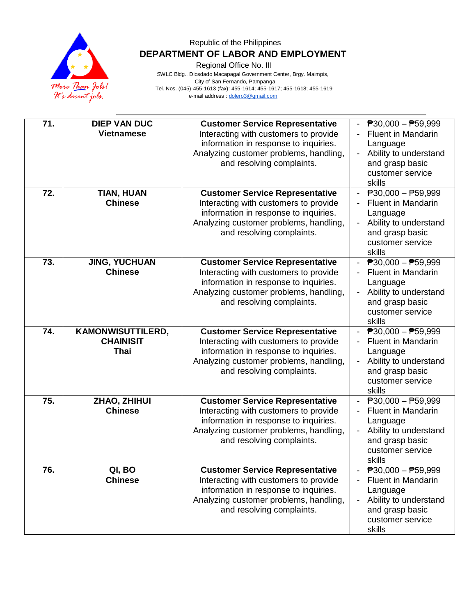

Regional Office No. III

| 71. | <b>DIEP VAN DUC</b><br><b>Vietnamese</b>                    | <b>Customer Service Representative</b><br>Interacting with customers to provide<br>information in response to inquiries.<br>Analyzing customer problems, handling,<br>and resolving complaints. | $\overline{P}30,000 - \overline{P}59,999$<br><b>Fluent in Mandarin</b><br>Language<br>Ability to understand<br>and grasp basic<br>customer service<br>skills |
|-----|-------------------------------------------------------------|-------------------------------------------------------------------------------------------------------------------------------------------------------------------------------------------------|--------------------------------------------------------------------------------------------------------------------------------------------------------------|
| 72. | <b>TIAN, HUAN</b><br><b>Chinese</b>                         | <b>Customer Service Representative</b><br>Interacting with customers to provide<br>information in response to inquiries.<br>Analyzing customer problems, handling,<br>and resolving complaints. | $\overline{P}30,000 - \overline{P}59,999$<br><b>Fluent in Mandarin</b><br>Language<br>Ability to understand<br>and grasp basic<br>customer service<br>skills |
| 73. | <b>JING, YUCHUAN</b><br><b>Chinese</b>                      | <b>Customer Service Representative</b><br>Interacting with customers to provide<br>information in response to inquiries.<br>Analyzing customer problems, handling,<br>and resolving complaints. | $\overline{P}30,000 - \overline{P}59,999$<br><b>Fluent in Mandarin</b><br>Language<br>Ability to understand<br>and grasp basic<br>customer service<br>skills |
| 74. | <b>KAMONWISUTTILERD,</b><br><b>CHAINISIT</b><br><b>Thai</b> | <b>Customer Service Representative</b><br>Interacting with customers to provide<br>information in response to inquiries.<br>Analyzing customer problems, handling,<br>and resolving complaints. | $\overline{P}30,000 - P59,999$<br><b>Fluent in Mandarin</b><br>Language<br>Ability to understand<br>and grasp basic<br>customer service<br>skills            |
| 75. | ZHAO, ZHIHUI<br><b>Chinese</b>                              | <b>Customer Service Representative</b><br>Interacting with customers to provide<br>information in response to inquiries.<br>Analyzing customer problems, handling,<br>and resolving complaints. | $\overline{P}30,000 - \overline{P}59,999$<br><b>Fluent in Mandarin</b><br>Language<br>Ability to understand<br>and grasp basic<br>customer service<br>skills |
| 76. | QI, BO<br><b>Chinese</b>                                    | <b>Customer Service Representative</b><br>Interacting with customers to provide<br>information in response to inquiries.<br>Analyzing customer problems, handling,<br>and resolving complaints. | $\overline{P}30,000 - \overline{P}59,999$<br><b>Fluent in Mandarin</b><br>Language<br>Ability to understand<br>and grasp basic<br>customer service<br>skills |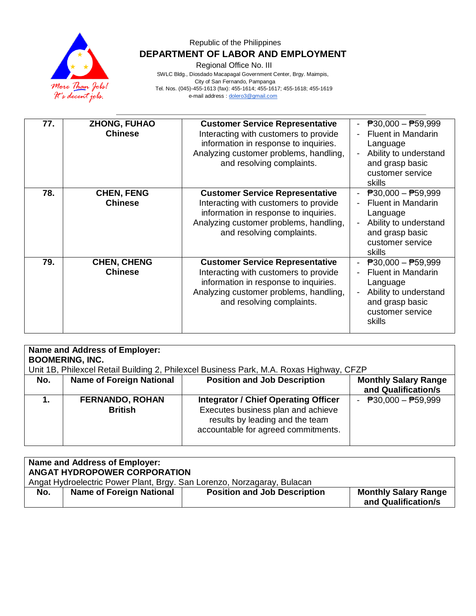

Regional Office No. III

| 77. | <b>ZHONG, FUHAO</b><br><b>Chinese</b> | <b>Customer Service Representative</b><br>Interacting with customers to provide<br>information in response to inquiries.<br>Analyzing customer problems, handling,<br>and resolving complaints. | - $P30,000 - P59,999$<br><b>Fluent in Mandarin</b><br>Language<br>Ability to understand<br>and grasp basic<br>customer service<br>skills                     |
|-----|---------------------------------------|-------------------------------------------------------------------------------------------------------------------------------------------------------------------------------------------------|--------------------------------------------------------------------------------------------------------------------------------------------------------------|
| 78. | <b>CHEN, FENG</b><br><b>Chinese</b>   | <b>Customer Service Representative</b><br>Interacting with customers to provide<br>information in response to inquiries.<br>Analyzing customer problems, handling,<br>and resolving complaints. | - $P30,000 - P59,999$<br><b>Fluent in Mandarin</b><br>Language<br>Ability to understand<br>and grasp basic<br>customer service<br>skills                     |
| 79. | <b>CHEN, CHENG</b><br><b>Chinese</b>  | <b>Customer Service Representative</b><br>Interacting with customers to provide<br>information in response to inquiries.<br>Analyzing customer problems, handling,<br>and resolving complaints. | $\overline{P}30,000 - \overline{P}59,999$<br><b>Fluent in Mandarin</b><br>Language<br>Ability to understand<br>and grasp basic<br>customer service<br>skills |

| Name and Address of Employer:<br><b>BOOMERING, INC.</b><br>Unit 1B, Philexcel Retail Building 2, Philexcel Business Park, M.A. Roxas Highway, CFZP |                                          |                                                                                                                                                             |                                                    |  |
|----------------------------------------------------------------------------------------------------------------------------------------------------|------------------------------------------|-------------------------------------------------------------------------------------------------------------------------------------------------------------|----------------------------------------------------|--|
| No.                                                                                                                                                | <b>Name of Foreign National</b>          | <b>Position and Job Description</b>                                                                                                                         | <b>Monthly Salary Range</b><br>and Qualification/s |  |
|                                                                                                                                                    | <b>FERNANDO, ROHAN</b><br><b>British</b> | <b>Integrator / Chief Operating Officer</b><br>Executes business plan and achieve<br>results by leading and the team<br>accountable for agreed commitments. | - $P30,000 - P59,999$                              |  |

| Name and Address of Employer:<br>ANGAT HYDROPOWER CORPORATION |                                                                         |                                     |                                                    |  |  |
|---------------------------------------------------------------|-------------------------------------------------------------------------|-------------------------------------|----------------------------------------------------|--|--|
|                                                               | Angat Hydroelectric Power Plant, Brgy. San Lorenzo, Norzagaray, Bulacan |                                     |                                                    |  |  |
| No.                                                           | <b>Name of Foreign National</b>                                         | <b>Position and Job Description</b> | <b>Monthly Salary Range</b><br>and Qualification/s |  |  |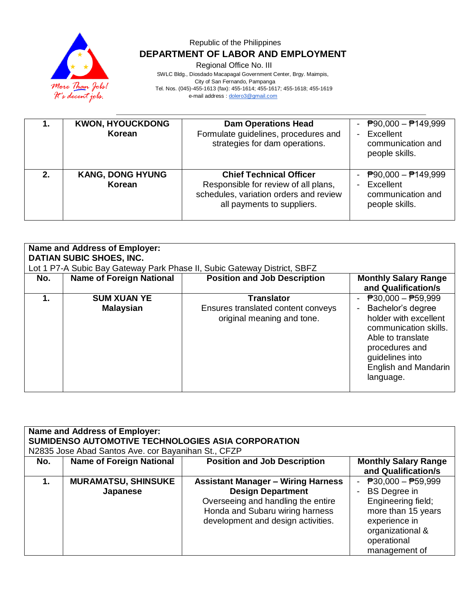

Regional Office No. III

|    | <b>KWON, HYOUCKDONG</b><br>Korean | <b>Dam Operations Head</b><br>Formulate guidelines, procedures and<br>strategies for dam operations.                                           | $\overline{P}90,000 - \overline{P}149,999$<br>Excellent<br>communication and<br>people skills. |
|----|-----------------------------------|------------------------------------------------------------------------------------------------------------------------------------------------|------------------------------------------------------------------------------------------------|
| 2. | <b>KANG, DONG HYUNG</b><br>Korean | <b>Chief Technical Officer</b><br>Responsible for review of all plans,<br>schedules, variation orders and review<br>all payments to suppliers. | ₱90,000 – ₱149,999<br>$\blacksquare$<br>Excellent<br>communication and<br>people skills.       |

| Name and Address of Employer:<br><b>DATIAN SUBIC SHOES, INC.</b><br>Lot 1 P7-A Subic Bay Gateway Park Phase II, Subic Gateway District, SBFZ |                                        |                                                                                       |                                                                                                                                                                                                                        |  |
|----------------------------------------------------------------------------------------------------------------------------------------------|----------------------------------------|---------------------------------------------------------------------------------------|------------------------------------------------------------------------------------------------------------------------------------------------------------------------------------------------------------------------|--|
| No.                                                                                                                                          | <b>Name of Foreign National</b>        | <b>Position and Job Description</b>                                                   | <b>Monthly Salary Range</b><br>and Qualification/s                                                                                                                                                                     |  |
| 1.                                                                                                                                           | <b>SUM XUAN YE</b><br><b>Malaysian</b> | <b>Translator</b><br>Ensures translated content conveys<br>original meaning and tone. | $\overline{P}30,000 - \overline{P}59,999$<br>Bachelor's degree<br>holder with excellent<br>communication skills.<br>Able to translate<br>procedures and<br>guidelines into<br><b>English and Mandarin</b><br>language. |  |

| <b>Name and Address of Employer:</b><br>SUMIDENSO AUTOMOTIVE TECHNOLOGIES ASIA CORPORATION<br>N2835 Jose Abad Santos Ave. cor Bayanihan St., CFZP |                                        |                                                                                                                                                                                      |                                                                                                                                                               |  |
|---------------------------------------------------------------------------------------------------------------------------------------------------|----------------------------------------|--------------------------------------------------------------------------------------------------------------------------------------------------------------------------------------|---------------------------------------------------------------------------------------------------------------------------------------------------------------|--|
| No.                                                                                                                                               | <b>Name of Foreign National</b>        | <b>Position and Job Description</b>                                                                                                                                                  | <b>Monthly Salary Range</b><br>and Qualification/s                                                                                                            |  |
| 1.                                                                                                                                                | <b>MURAMATSU, SHINSUKE</b><br>Japanese | <b>Assistant Manager - Wiring Harness</b><br><b>Design Department</b><br>Overseeing and handling the entire<br>Honda and Subaru wiring harness<br>development and design activities. | - $P30,000 - P59,999$<br><b>BS</b> Degree in<br>Engineering field;<br>more than 15 years<br>experience in<br>organizational &<br>operational<br>management of |  |